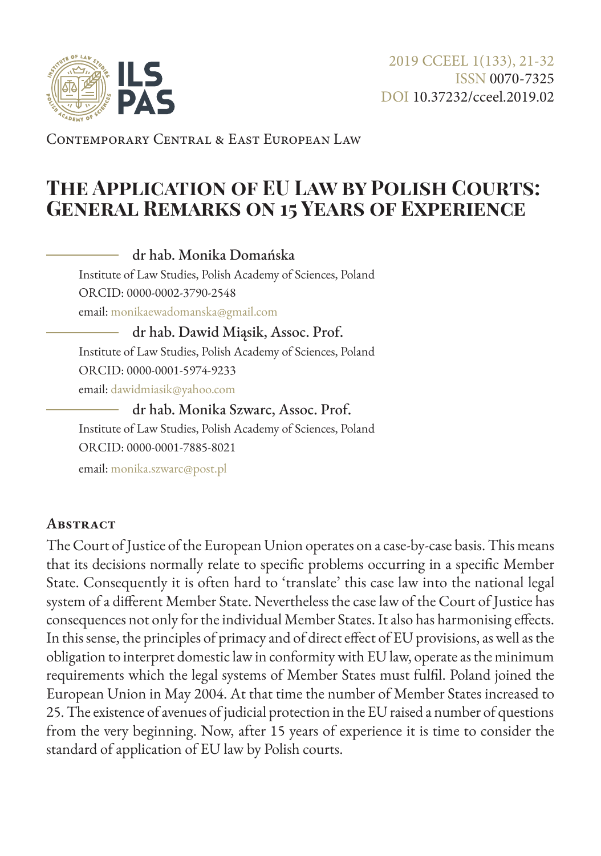

Contemporary Central & East European Law

# **The Application of EU Law by Polish Courts: General Remarks on 15 Years of Experience**

dr hab. Monika Domańska dr hab. Dawid Miąsik, Assoc. Prof. Institute of Law Studies, Polish Academy of Sciences, Poland ORCID: 0000-0002-3790-2548 email: [monikaewadomanska@gmail.com](mailto:monikaewadomanska%40gmail.com?subject=)

Institute of Law Studies, Polish Academy of Sciences, Poland ORCID: 0000-0001-5974-9233 email: [dawidmiasik@yahoo.com](mailto:dawidmiasik%40yahoo.com?subject=)

dr hab. Monika Szwarc, Assoc. Prof. Institute of Law Studies, Polish Academy of Sciences, Poland ORCID: 0000-0001-7885-8021

email: [monika.szwarc@post.pl](mailto:monika.szwarc%40post.pl?subject=)

#### **Abstract**

The Court of Justice of the European Union operates on a case-by-case basis. This means that its decisions normally relate to specific problems occurring in a specific Member State. Consequently it is often hard to 'translate' this case law into the national legal system of a different Member State. Nevertheless the case law of the Court of Justice has consequences not only for the individual Member States. It also has harmonising effects. In this sense, the principles of primacy and of direct effect of EU provisions, as well as the obligation to interpret domestic law in conformity with EU law, operate as the minimum requirements which the legal systems of Member States must fulfil. Poland joined the European Union in May 2004. At that time the number of Member States increased to 25. The existence of avenues of judicial protection in the EU raised a number of questions from the very beginning. Now, after 15 years of experience it is time to consider the standard of application of EU law by Polish courts.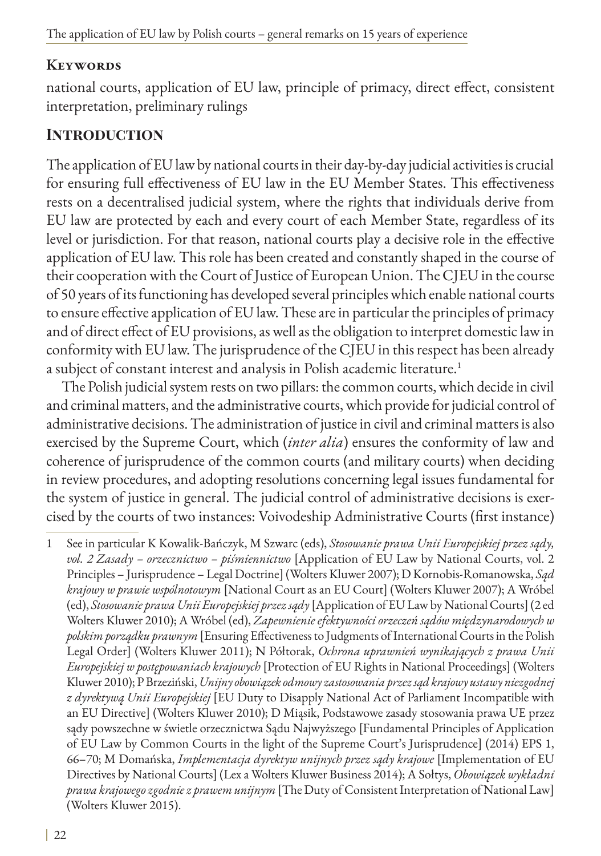### **Keywords**

national courts, application of EU law, principle of primacy, direct effect, consistent interpretation, preliminary rulings

### **Introduction**

The application of EU law by national courts in their day-by-day judicial activities is crucial for ensuring full effectiveness of EU law in the EU Member States. This effectiveness rests on a decentralised judicial system, where the rights that individuals derive from EU law are protected by each and every court of each Member State, regardless of its level or jurisdiction. For that reason, national courts play a decisive role in the effective application of EU law. This role has been created and constantly shaped in the course of their cooperation with the Court of Justice of European Union. The CJEU in the course of 50 years of its functioning has developed several principles which enable national courts to ensure effective application of EU law. These are in particular the principles of primacy and of direct effect of EU provisions, as well as the obligation to interpret domestic law in conformity with EU law. The jurisprudence of the CJEU in this respect has been already a subject of constant interest and analysis in Polish academic literature.<sup>1</sup>

The Polish judicial system rests on two pillars: the common courts, which decide in civil and criminal matters, and the administrative courts, which provide for judicial control of administrative decisions. The administration of justice in civil and criminal matters is also exercised by the Supreme Court, which (*inter alia*) ensures the conformity of law and coherence of jurisprudence of the common courts (and military courts) when deciding in review procedures, and adopting resolutions concerning legal issues fundamental for the system of justice in general. The judicial control of administrative decisions is exercised by the courts of two instances: Voivodeship Administrative Courts (first instance)

1 See in particular K Kowalik-Bańczyk, M Szwarc (eds), *Stosowanie prawa Unii Europejskiej przez sądy, vol. 2 Zasady – orzecznictwo – piśmiennictwo* [Application of EU Law by National Courts, vol. 2 Principles – Jurisprudence – Legal Doctrine] (Wolters Kluwer 2007); D Kornobis-Romanowska, *Sąd krajowy w prawie wspólnotowym* [National Court as an EU Court] (Wolters Kluwer 2007); A Wróbel (ed), *Stosowanie prawa Unii Europejskiej przez sądy* [Application of EU Law by National Courts] (2 ed Wolters Kluwer 2010); A Wróbel (ed), *Zapewnienie efektywności orzeczeń sądów międzynarodowych w polskim porządku prawnym* [Ensuring Effectiveness to Judgments of International Courts in the Polish Legal Order] (Wolters Kluwer 2011); N Półtorak, *Ochrona uprawnień wynikających z prawa Unii Europejskiej w postępowaniach krajowych* [Protection of EU Rights in National Proceedings] (Wolters Kluwer 2010); P Brzeziński, *Unijny obowiązek odmowy zastosowania przez sąd krajowy ustawy niezgodnej z dyrektywą Unii Europejskiej* [EU Duty to Disapply National Act of Parliament Incompatible with an EU Directive] (Wolters Kluwer 2010); D Miąsik, Podstawowe zasady stosowania prawa UE przez sądy powszechne w świetle orzecznictwa Sądu Najwyższego [Fundamental Principles of Application of EU Law by Common Courts in the light of the Supreme Court's Jurisprudence] (2014) EPS 1, 66–70; M Domańska, *Implementacja dyrektyw unijnych przez sądy krajowe* [Implementation of EU Directives by National Courts] (Lex a Wolters Kluwer Business 2014); A Sołtys, *Obowiązek wykładni prawa krajowego zgodnie z prawem unijnym* [The Duty of Consistent Interpretation of National Law] (Wolters Kluwer 2015).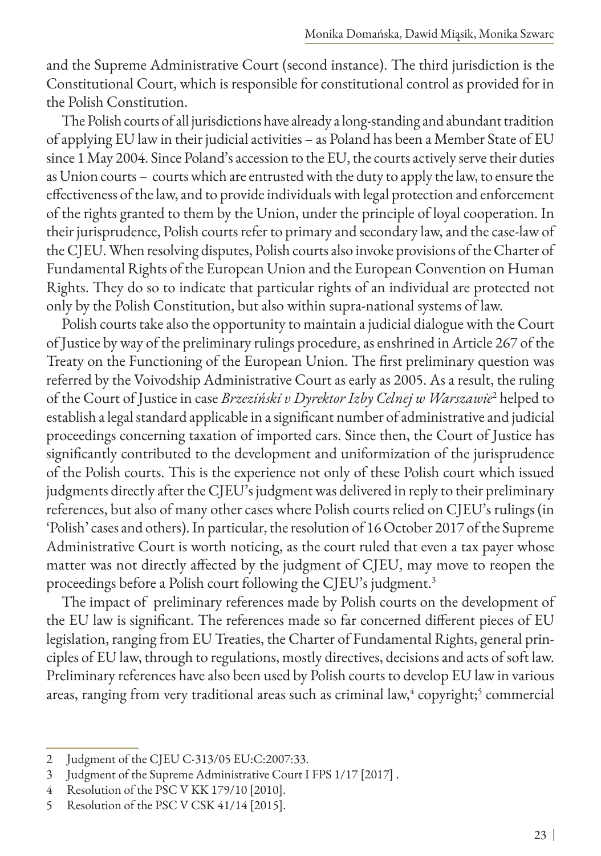and the Supreme Administrative Court (second instance). The third jurisdiction is the Constitutional Court, which is responsible for constitutional control as provided for in the Polish Constitution.

The Polish courts of all jurisdictions have already a long-standing and abundant tradition of applying EU law in their judicial activities – as Poland has been a Member State of EU since 1 May 2004. Since Poland's accession to the EU, the courts actively serve their duties as Union courts – courts which are entrusted with the duty to apply the law, to ensure the effectiveness of the law, and to provide individuals with legal protection and enforcement of the rights granted to them by the Union, under the principle of loyal cooperation. In their jurisprudence, Polish courts refer to primary and secondary law, and the case-law of the CJEU. When resolving disputes, Polish courts also invoke provisions of the Charter of Fundamental Rights of the European Union and the European Convention on Human Rights. They do so to indicate that particular rights of an individual are protected not only by the Polish Constitution, but also within supra-national systems of law.

Polish courts take also the opportunity to maintain a judicial dialogue with the Court of Justice by way of the preliminary rulings procedure, as enshrined in Article 267 of the Treaty on the Functioning of the European Union. The first preliminary question was referred by the Voivodship Administrative Court as early as 2005. As a result, the ruling of the Court of Justice in case *Brzeziński v Dyrektor Izby Celnej w Warszawie*<sup>2</sup> helped to establish a legal standard applicable in a significant number of administrative and judicial proceedings concerning taxation of imported cars. Since then, the Court of Justice has significantly contributed to the development and uniformization of the jurisprudence of the Polish courts. This is the experience not only of these Polish court which issued judgments directly after the CJEU's judgment was delivered in reply to their preliminary references, but also of many other cases where Polish courts relied on CJEU's rulings (in 'Polish' cases and others). In particular, the resolution of 16 October 2017 of the Supreme Administrative Court is worth noticing, as the court ruled that even a tax payer whose matter was not directly affected by the judgment of CJEU, may move to reopen the proceedings before a Polish court following the CJEU's judgment.3

The impact of preliminary references made by Polish courts on the development of the EU law is significant. The references made so far concerned different pieces of EU legislation, ranging from EU Treaties, the Charter of Fundamental Rights, general principles of EU law, through to regulations, mostly directives, decisions and acts of soft law. Preliminary references have also been used by Polish courts to develop EU law in various areas, ranging from very traditional areas such as criminal law, $^4$  copyright; $^5$  commercial

<sup>2</sup> Judgment of the CJEU C-313/05 EU:C:2007:33.

<sup>3</sup> Judgment of the Supreme Administrative Court I FPS 1/17 [2017] .

<sup>4</sup> Resolution of the PSC V KK 179/10 [2010].

<sup>5</sup> Resolution of the PSC V CSK 41/14 [2015].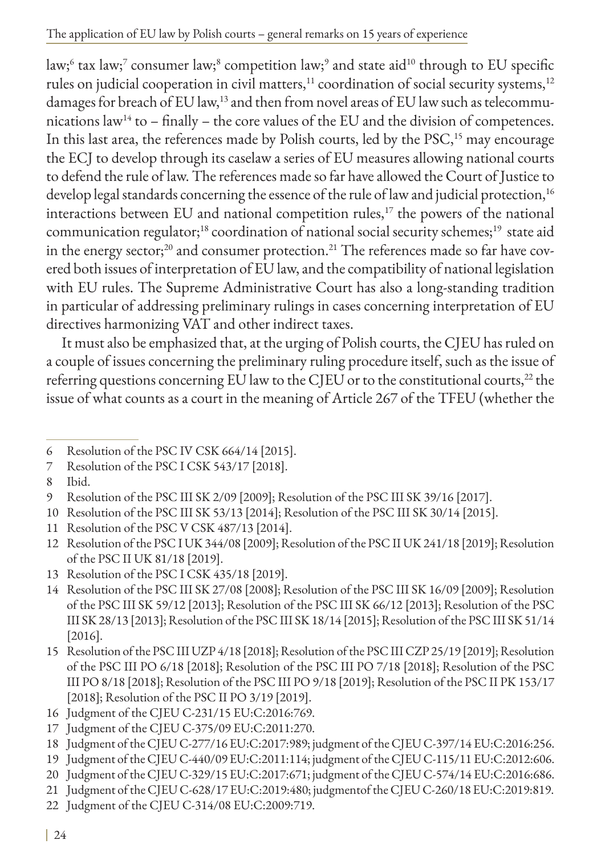law; $^{\rm 6}$  tax law; $^{\rm 7}$  consumer law; $^{\rm 8}$  competition law; $^{\rm 9}$  and state aid $^{\rm 10}$  through to EU specific rules on judicial cooperation in civil matters,<sup>11</sup> coordination of social security systems,<sup>12</sup> damages for breach of EU law,<sup>13</sup> and then from novel areas of EU law such as telecommunications  $law<sup>14</sup>$  to – finally – the core values of the EU and the division of competences. In this last area, the references made by Polish courts, led by the PSC,<sup>15</sup> may encourage the ECJ to develop through its caselaw a series of EU measures allowing national courts to defend the rule of law. The references made so far have allowed the Court of Justice to develop legal standards concerning the essence of the rule of law and judicial protection,<sup>16</sup> interactions between EU and national competition rules, $17$  the powers of the national communication regulator;<sup>18</sup> coordination of national social security schemes;<sup>19</sup> state aid in the energy sector;<sup>20</sup> and consumer protection.<sup>21</sup> The references made so far have covered both issues of interpretation of EU law, and the compatibility of national legislation with EU rules. The Supreme Administrative Court has also a long-standing tradition in particular of addressing preliminary rulings in cases concerning interpretation of EU directives harmonizing VAT and other indirect taxes.

It must also be emphasized that, at the urging of Polish courts, the CJEU has ruled on a couple of issues concerning the preliminary ruling procedure itself, such as the issue of referring questions concerning EU law to the CJEU or to the constitutional courts, $^{22}$  the issue of what counts as a court in the meaning of Article 267 of the TFEU (whether the

- 10 Resolution of the PSC III SK 53/13 [2014]; Resolution of the PSC III SK 30/14 [2015].
- 11 Resolution of the PSC V CSK 487/13 [2014].
- 12 Resolution of the PSC I UK 344/08 [2009]; Resolution of the PSC II UK 241/18 [2019]; Resolution of the PSC II UK 81/18 [2019].
- 13 Resolution of the PSC I CSK 435/18 [2019].
- 14 Resolution of the PSC III SK 27/08 [2008]; Resolution of the PSC III SK 16/09 [2009]; Resolution of the PSC III SK 59/12 [2013]; Resolution of the PSC III SK 66/12 [2013]; Resolution of the PSC III SK 28/13 [2013]; Resolution of the PSC III SK 18/14 [2015]; Resolution of the PSC III SK 51/14 [2016].
- 15 Resolution of the PSC III UZP 4/18 [2018]; Resolution of the PSC III CZP 25/19 [2019]; Resolution of the PSC III PO 6/18 [2018]; Resolution of the PSC III PO 7/18 [2018]; Resolution of the PSC III PO 8/18 [2018]; Resolution of the PSC III PO 9/18 [2019]; Resolution of the PSC II PK 153/17 [2018]; Resolution of the PSC II PO 3/19 [2019].
- 16 Judgment of the CJEU C-231/15 EU:C:2016:769.
- 17 Judgment of the CJEU C-375/09 EU:C:2011:270.

- 19 Judgment of the CJEU C-440/09 EU:C:2011:114; judgment of the CJEU C-115/11 EU:C:2012:606.
- 20 Judgment of the CJEU C-329/15 EU:C:2017:671; judgment of the CJEU C-574/14 EU:C:2016:686.
- 21 Judgment of the CJEU C-628/17 EU:C:2019:480; judgmentof the CJEU C-260/18 EU:C:2019:819.
- 22 Judgment of the CJEU C-314/08 EU:C:2009:719.

<sup>6</sup> Resolution of the PSC IV CSK 664/14 [2015].

<sup>7</sup> Resolution of the PSC I CSK 543/17 [2018].

<sup>8</sup> Ibid.

<sup>9</sup> Resolution of the PSC III SK 2/09 [2009]; Resolution of the PSC III SK 39/16 [2017].

<sup>18</sup> Judgment of the CJEU C-277/16 EU:C:2017:989; judgment of the CJEU C-397/14 EU:C:2016:256.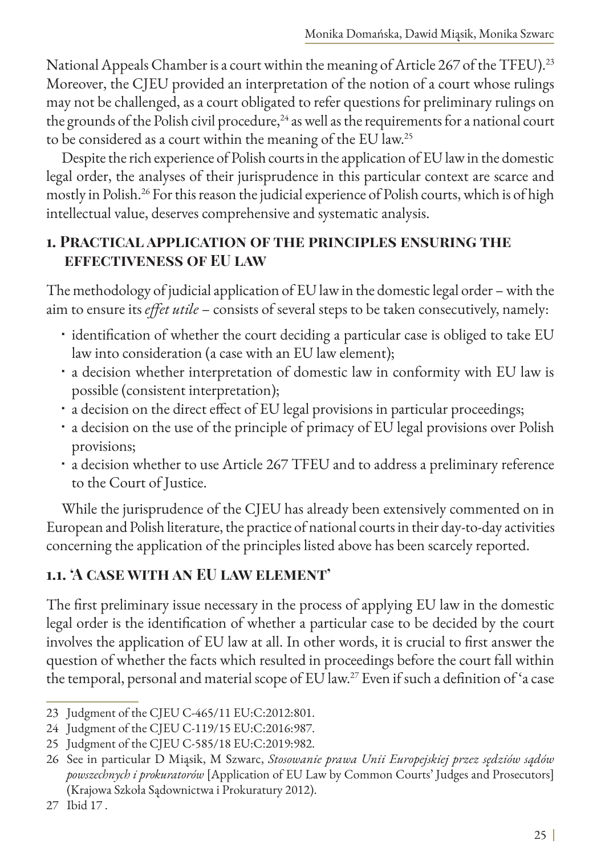National Appeals Chamber is a court within the meaning of Article 267 of the TFEU).<sup>23</sup> Moreover, the CJEU provided an interpretation of the notion of a court whose rulings may not be challenged, as a court obligated to refer questions for preliminary rulings on the grounds of the Polish civil procedure, $^{24}$  as well as the requirements for a national court to be considered as a court within the meaning of the EU law.25

Despite the rich experience of Polish courts in the application of EU law in the domestic legal order, the analyses of their jurisprudence in this particular context are scarce and mostly in Polish.26 For this reason the judicial experience of Polish courts, which is of high intellectual value, deserves comprehensive and systematic analysis.

#### **1. Practical application of the principles ensuring the effectiveness of EU law**

The methodology of judicial application of EU law in the domestic legal order – with the aim to ensure its *effet utile* – consists of several steps to be taken consecutively, namely:

- · identification of whether the court deciding a particular case is obliged to take EU law into consideration (a case with an EU law element);
- a decision whether interpretation of domestic law in conformity with EU law is possible (consistent interpretation);
- a decision on the direct effect of EU legal provisions in particular proceedings;
- a decision on the use of the principle of primacy of EU legal provisions over Polish provisions;
- a decision whether to use Article 267 TFEU and to address a preliminary reference to the Court of Justice.

While the jurisprudence of the CJEU has already been extensively commented on in European and Polish literature, the practice of national courts in their day-to-day activities concerning the application of the principles listed above has been scarcely reported.

### **1.1. 'A case with an EU law element'**

The first preliminary issue necessary in the process of applying EU law in the domestic legal order is the identification of whether a particular case to be decided by the court involves the application of EU law at all. In other words, it is crucial to first answer the question of whether the facts which resulted in proceedings before the court fall within the temporal, personal and material scope of EU law.27 Even if such a definition of 'a case

<sup>23</sup> Judgment of the CJEU C-465/11 EU:C:2012:801.

<sup>24</sup> Judgment of the CJEU C-119/15 EU:C:2016:987.

<sup>25</sup> Judgment of the CJEU C-585/18 EU:C:2019:982.

<sup>26</sup> See in particular D Miąsik, M Szwarc, *Stosowanie prawa Unii Europejskiej przez sędziów sądów powszechnych i prokuratorów* [Application of EU Law by Common Courts' Judges and Prosecutors] (Krajowa Szkoła Sądownictwa i Prokuratury 2012).

<sup>27</sup> Ibid 17 .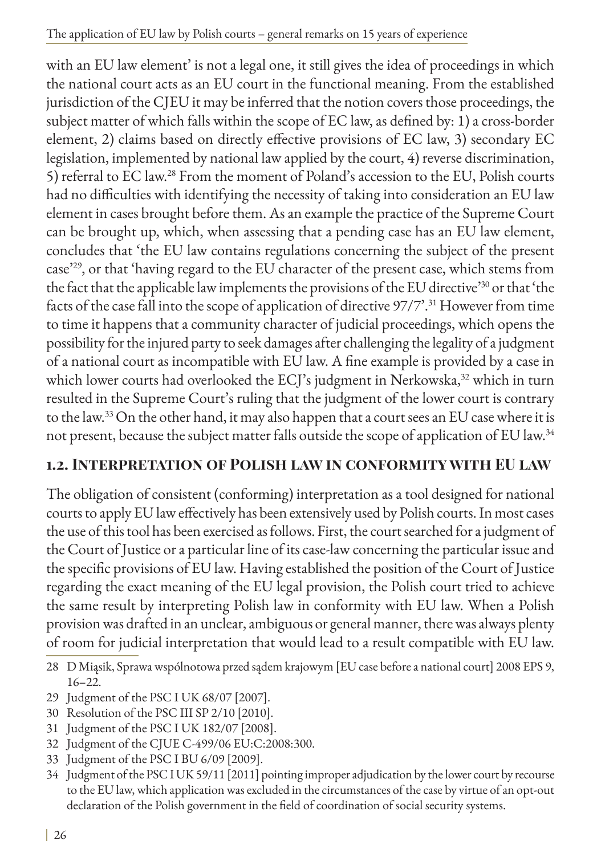with an EU law element' is not a legal one, it still gives the idea of proceedings in which the national court acts as an EU court in the functional meaning. From the established jurisdiction of the CJEU it may be inferred that the notion covers those proceedings, the subject matter of which falls within the scope of EC law, as defined by: 1) a cross-border element, 2) claims based on directly effective provisions of EC law, 3) secondary EC legislation, implemented by national law applied by the court, 4) reverse discrimination, 5) referral to EC law.28 From the moment of Poland's accession to the EU, Polish courts had no difficulties with identifying the necessity of taking into consideration an EU law element in cases brought before them. As an example the practice of the Supreme Court can be brought up, which, when assessing that a pending case has an EU law element, concludes that 'the EU law contains regulations concerning the subject of the present case'29, or that 'having regard to the EU character of the present case, which stems from the fact that the applicable law implements the provisions of the EU directive'30 or that 'the facts of the case fall into the scope of application of directive 97/7'.<sup>31</sup> However from time to time it happens that a community character of judicial proceedings, which opens the possibility for the injured party to seek damages after challenging the legality of a judgment of a national court as incompatible with EU law. A fine example is provided by a case in which lower courts had overlooked the ECJ's judgment in Nerkowska,<sup>32</sup> which in turn resulted in the Supreme Court's ruling that the judgment of the lower court is contrary to the law.33 On the other hand, it may also happen that a court sees an EU case where it is not present, because the subject matter falls outside the scope of application of EU law.34

## **1.2. Interpretation of Polish law in conformity with EU law**

The obligation of consistent (conforming) interpretation as a tool designed for national courts to apply EU law effectively has been extensively used by Polish courts. In most cases the use of this tool has been exercised as follows. First, the court searched for a judgment of the Court of Justice or a particular line of its case-law concerning the particular issue and the specific provisions of EU law. Having established the position of the Court of Justice regarding the exact meaning of the EU legal provision, the Polish court tried to achieve the same result by interpreting Polish law in conformity with EU law. When a Polish provision was drafted in an unclear, ambiguous or general manner, there was always plenty of room for judicial interpretation that would lead to a result compatible with EU law.

- 28 D Miąsik, Sprawa wspólnotowa przed sądem krajowym [EU case before a national court] 2008 EPS 9, 16–22.
- 29 Judgment of the PSC I UK 68/07 [2007].
- 30 Resolution of the PSC III SP 2/10 [2010].
- 31 Judgment of the PSC I UK 182/07 [2008].
- 32 Judgment of the CJUE C-499/06 EU:C:2008:300.
- 33 Judgment of the PSC I BU 6/09 [2009].
- 34 Judgment of the PSC I UK 59/11 [2011] pointing improper adjudication by the lower court by recourse to the EU law, which application was excluded in the circumstances of the case by virtue of an opt-out declaration of the Polish government in the field of coordination of social security systems.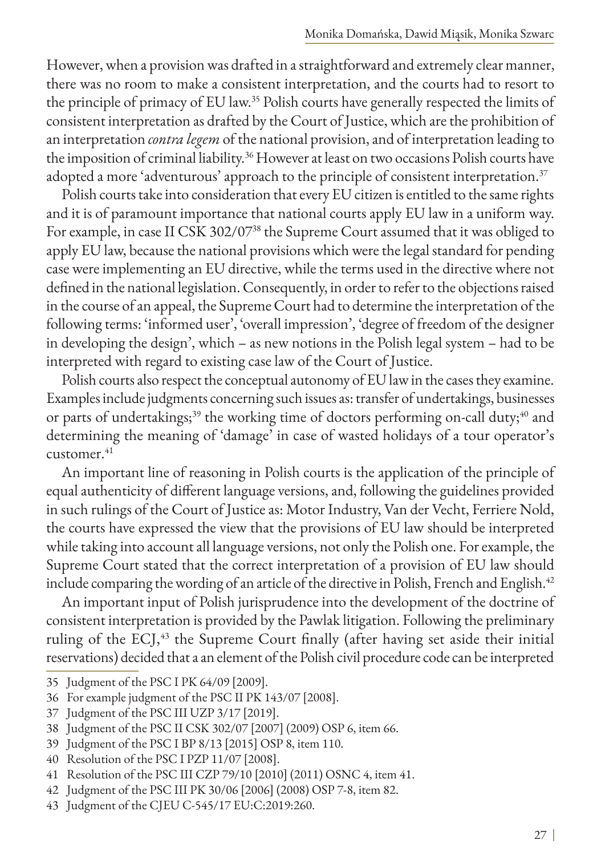However, when a provision was drafted in a straightforward and extremely clear manner, there was no room to make a consistent interpretation, and the courts had to resort to the principle of primacy of EU law.35 Polish courts have generally respected the limits of consistent interpretation as drafted by the Court of Justice, which are the prohibition of an interpretation *contra legem* of the national provision, and of interpretation leading to the imposition of criminal liability.<sup>36</sup> However at least on two occasions Polish courts have adopted a more 'adventurous' approach to the principle of consistent interpretation.<sup>37</sup>

Polish courts take into consideration that every EU citizen is entitled to the same rights and it is of paramount importance that national courts apply EU law in a uniform way. For example, in case II CSK 302/0738 the Supreme Court assumed that it was obliged to apply EU law, because the national provisions which were the legal standard for pending case were implementing an EU directive, while the terms used in the directive where not defined in the national legislation. Consequently, in order to refer to the objections raised in the course of an appeal, the Supreme Court had to determine the interpretation of the following terms: 'informed user', 'overall impression', 'degree of freedom of the designer in developing the design', which – as new notions in the Polish legal system – had to be interpreted with regard to existing case law of the Court of Justice.

Polish courts also respect the conceptual autonomy of EU law in the cases they examine. Examples include judgments concerning such issues as: transfer of undertakings, businesses or parts of undertakings;<sup>39</sup> the working time of doctors performing on-call duty;<sup>40</sup> and determining the meaning of 'damage' in case of wasted holidays of a tour operator's  $c$ ustomer. $41$ 

An important line of reasoning in Polish courts is the application of the principle of equal authenticity of different language versions, and, following the guidelines provided in such rulings of the Court of Justice as: Motor Industry, Van der Vecht, Ferriere Nold, the courts have expressed the view that the provisions of EU law should be interpreted while taking into account all language versions, not only the Polish one. For example, the Supreme Court stated that the correct interpretation of a provision of EU law should include comparing the wording of an article of the directive in Polish, French and English.<sup>42</sup>

An important input of Polish jurisprudence into the development of the doctrine of consistent interpretation is provided by the Pawlak litigation. Following the preliminary ruling of the ECJ,<sup>43</sup> the Supreme Court finally (after having set aside their initial reservations) decided that a an element of the Polish civil procedure code can be interpreted

- 42 Judgment of the PSC III PK 30/06 [2006] (2008) OSP 7-8, item 82.
- 43 Judgment of the CJEU C-545/17 EU:C:2019:260.

<sup>35</sup> Judgment of the PSC I PK 64/09 [2009].

<sup>36</sup> For example judgment of the PSC II PK 143/07 [2008].

<sup>37</sup> Judgment of the PSC III UZP 3/17 [2019].

<sup>38</sup> Judgment of the PSC II CSK 302/07 [2007] (2009) OSP 6, item 66.

<sup>39</sup> Judgment of the PSC I BP 8/13 [2015] OSP 8, item 110.

<sup>40</sup> Resolution of the PSC I PZP 11/07 [2008].

<sup>41</sup> Resolution of the PSC III CZP 79/10 [2010] (2011) OSNC 4, item 41.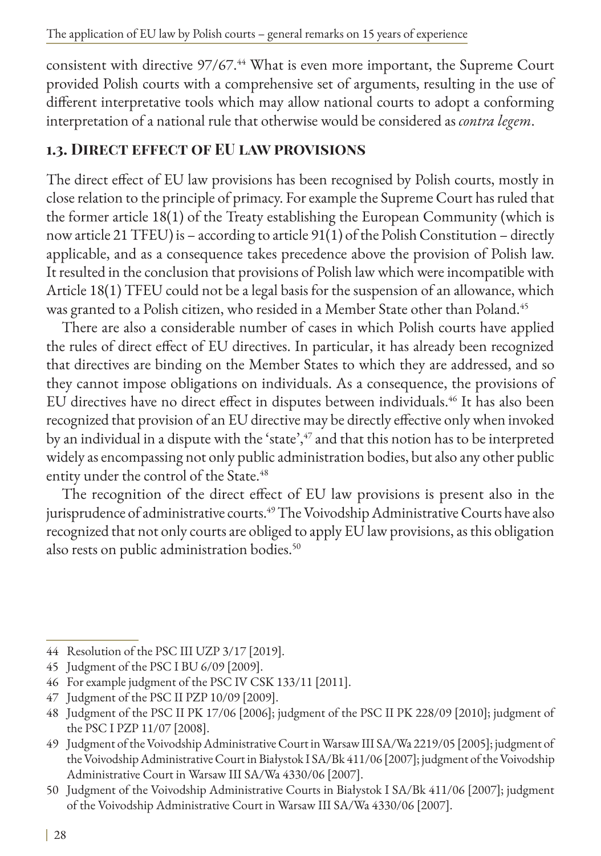consistent with directive 97/67.<sup>44</sup> What is even more important, the Supreme Court provided Polish courts with a comprehensive set of arguments, resulting in the use of different interpretative tools which may allow national courts to adopt a conforming interpretation of a national rule that otherwise would be considered as *contra legem*.

### **1.3. Direct effect of EU law provisions**

The direct effect of EU law provisions has been recognised by Polish courts, mostly in close relation to the principle of primacy. For example the Supreme Court has ruled that the former article 18(1) of the Treaty establishing the European Community (which is now article 21 TFEU) is – according to article 91(1) of the Polish Constitution – directly applicable, and as a consequence takes precedence above the provision of Polish law. It resulted in the conclusion that provisions of Polish law which were incompatible with Article 18(1) TFEU could not be a legal basis for the suspension of an allowance, which was granted to a Polish citizen, who resided in a Member State other than Poland.45

There are also a considerable number of cases in which Polish courts have applied the rules of direct effect of EU directives. In particular, it has already been recognized that directives are binding on the Member States to which they are addressed, and so they cannot impose obligations on individuals. As a consequence, the provisions of EU directives have no direct effect in disputes between individuals.<sup>46</sup> It has also been recognized that provision of an EU directive may be directly effective only when invoked by an individual in a dispute with the 'state',<sup>47</sup> and that this notion has to be interpreted widely as encompassing not only public administration bodies, but also any other public entity under the control of the State.<sup>48</sup>

The recognition of the direct effect of EU law provisions is present also in the jurisprudence of administrative courts.<sup>49</sup> The Voivodship Administrative Courts have also recognized that not only courts are obliged to apply EU law provisions, as this obligation also rests on public administration bodies.<sup>50</sup>

<sup>44</sup> Resolution of the PSC III UZP 3/17 [2019].

<sup>45</sup> Judgment of the PSC I BU 6/09 [2009].

<sup>46</sup> For example judgment of the PSC IV CSK 133/11 [2011].

<sup>47</sup> Judgment of the PSC II PZP 10/09 [2009].

<sup>48</sup> Judgment of the PSC II PK 17/06 [2006]; judgment of the PSC II PK 228/09 [2010]; judgment of the PSC I PZP 11/07 [2008].

<sup>49</sup> Judgment of the Voivodship Administrative Court in Warsaw III SA/Wa 2219/05 [2005]; judgment of the Voivodship Administrative Court in Białystok I SA/Bk 411/06 [2007]; judgment of the Voivodship Administrative Court in Warsaw III SA/Wa 4330/06 [2007].

<sup>50</sup> Judgment of the Voivodship Administrative Courts in Białystok I SA/Bk 411/06 [2007]; judgment of the Voivodship Administrative Court in Warsaw III SA/Wa 4330/06 [2007].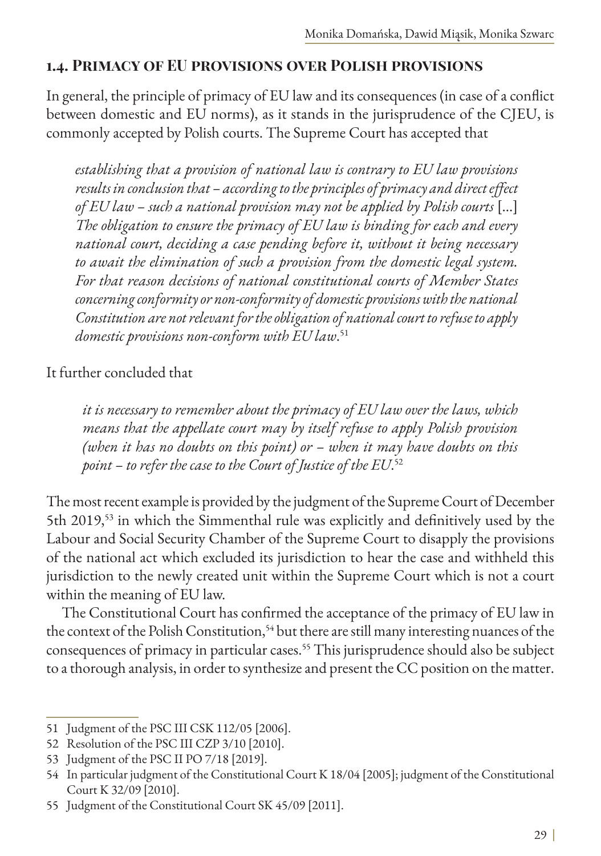#### **1.4. Primacy of EU provisions over Polish provisions**

In general, the principle of primacy of EU law and its consequences (in case of a conflict between domestic and EU norms), as it stands in the jurisprudence of the CJEU, is commonly accepted by Polish courts. The Supreme Court has accepted that

*establishing that a provision of national law is contrary to EU law provisions results in conclusion that – according to the principles of primacy and direct effect of EU law – such a national provision may not be applied by Polish courts* [...] *The obligation to ensure the primacy of EU law is binding for each and every national court, deciding a case pending before it, without it being necessary to await the elimination of such a provision from the domestic legal system. For that reason decisions of national constitutional courts of Member States concerning conformity or non-conformity of domestic provisions with the national Constitution are not relevant for the obligation of national court to refuse to apply domestic provisions non-conform with EU law*. 51

It further concluded that

*it is necessary to remember about the primacy of EU law over the laws, which means that the appellate court may by itself refuse to apply Polish provision (when it has no doubts on this point) or – when it may have doubts on this point – to refer the case to the Court of Justice of the EU*. 52

The most recent example is provided by the judgment of the Supreme Court of December 5th 2019,<sup>53</sup> in which the Simmenthal rule was explicitly and definitively used by the Labour and Social Security Chamber of the Supreme Court to disapply the provisions of the national act which excluded its jurisdiction to hear the case and withheld this jurisdiction to the newly created unit within the Supreme Court which is not a court within the meaning of EU law.

The Constitutional Court has confirmed the acceptance of the primacy of EU law in the context of the Polish Constitution,<sup>54</sup> but there are still many interesting nuances of the consequences of primacy in particular cases.<sup>55</sup> This jurisprudence should also be subject to a thorough analysis, in order to synthesize and present the CC position on the matter.

<sup>51</sup> Judgment of the PSC III CSK 112/05 [2006].

<sup>52</sup> Resolution of the PSC III CZP 3/10 [2010].

<sup>53</sup> Judgment of the PSC II PO 7/18 [2019].

<sup>54</sup> In particular judgment of the Constitutional Court K 18/04 [2005]; judgment of the Constitutional Court K 32/09 [2010].

<sup>55</sup> Judgment of the Constitutional Court SK 45/09 [2011].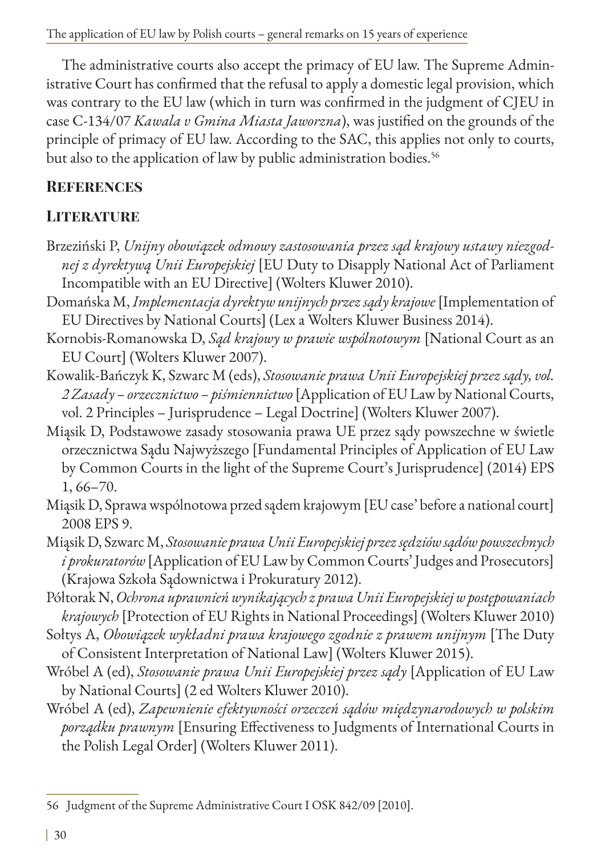The administrative courts also accept the primacy of EU law. The Supreme Administrative Court has confirmed that the refusal to apply a domestic legal provision, which was contrary to the EU law (which in turn was confirmed in the judgment of CJEU in case C-134/07 *Kawala v Gmina Miasta Jaworzna*), was justified on the grounds of the principle of primacy of EU law. According to the SAC, this applies not only to courts, but also to the application of law by public administration bodies.<sup>56</sup>

### **References**

## **LITERATURE**

- Brzeziński P, *Unijny obowiązek odmowy zastosowania przez sąd krajowy ustawy niezgodnej z dyrektywą Unii Europejskiej* [EU Duty to Disapply National Act of Parliament Incompatible with an EU Directive] (Wolters Kluwer 2010).
- Domańska M, *Implementacja dyrektyw unijnych przez sądy krajowe* [Implementation of EU Directives by National Courts] (Lex a Wolters Kluwer Business 2014).
- Kornobis-Romanowska D, *Sąd krajowy w prawie wspólnotowym* [National Court as an EU Court] (Wolters Kluwer 2007).
- Kowalik-Bańczyk K, Szwarc M (eds), *Stosowanie prawa Unii Europejskiej przez sądy, vol. 2 Zasady – orzecznictwo – piśmiennictwo* [Application of EU Law by National Courts, vol. 2 Principles – Jurisprudence – Legal Doctrine] (Wolters Kluwer 2007).
- Miąsik D, Podstawowe zasady stosowania prawa UE przez sądy powszechne w świetle orzecznictwa Sądu Najwyższego [Fundamental Principles of Application of EU Law by Common Courts in the light of the Supreme Court's Jurisprudence] (2014) EPS 1, 66–70.
- Miąsik D, Sprawa wspólnotowa przed sądem krajowym [EU case' before a national court] 2008 EPS 9.
- Miąsik D, Szwarc M, *Stosowanie prawa Unii Europejskiej przez sędziów sądów powszechnych i prokuratorów* [Application of EU Law by Common Courts' Judges and Prosecutors] (Krajowa Szkoła Sądownictwa i Prokuratury 2012).
- Półtorak N, *Ochrona uprawnień wynikających z prawa Unii Europejskiej w postępowaniach krajowych* [Protection of EU Rights in National Proceedings] (Wolters Kluwer 2010)
- Sołtys A, *Obowiązek wykładni prawa krajowego zgodnie z prawem unijnym* [The Duty of Consistent Interpretation of National Law] (Wolters Kluwer 2015).
- Wróbel A (ed), *Stosowanie prawa Unii Europejskiej przez sądy* [Application of EU Law by National Courts] (2 ed Wolters Kluwer 2010).
- Wróbel A (ed), *Zapewnienie efektywności orzeczeń sądów międzynarodowych w polskim porządku prawnym* [Ensuring Effectiveness to Judgments of International Courts in the Polish Legal Order] (Wolters Kluwer 2011).

<sup>56</sup> Judgment of the Supreme Administrative Court I OSK 842/09 [2010].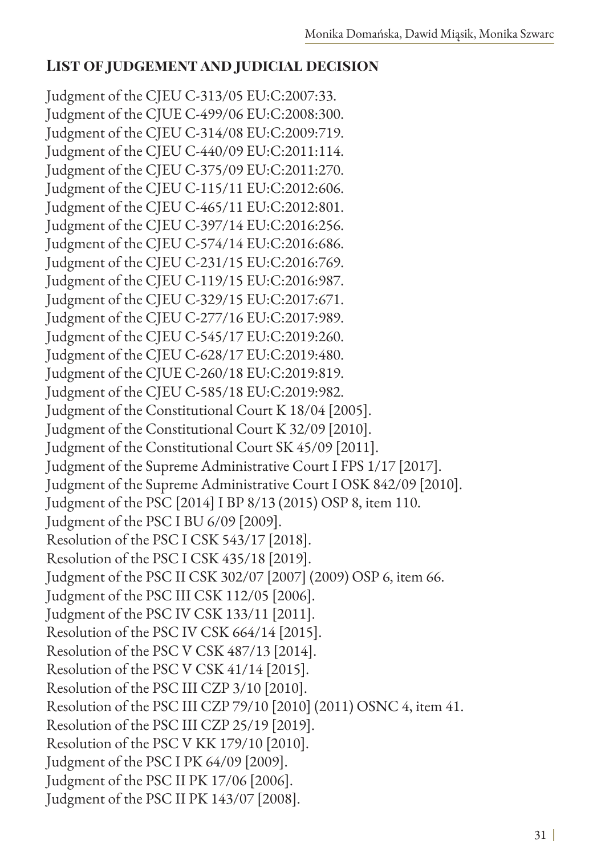### **List of judgement and judicial decision**

Judgment of the CJEU C-313/05 EU:C:2007:33. Judgment of the CJUE C-499/06 EU:C:2008:300. Judgment of the CJEU C-314/08 EU:C:2009:719. Judgment of the CJEU C-440/09 EU:C:2011:114. Judgment of the CJEU C-375/09 EU:C:2011:270. Judgment of the CJEU C-115/11 EU:C:2012:606. Judgment of the CJEU C-465/11 EU:C:2012:801. Judgment of the CJEU C-397/14 EU:C:2016:256. Judgment of the CJEU C-574/14 EU:C:2016:686. Judgment of the CJEU C-231/15 EU:C:2016:769. Judgment of the CJEU C-119/15 EU:C:2016:987. Judgment of the CJEU C-329/15 EU:C:2017:671. Judgment of the CJEU C-277/16 EU:C:2017:989. Judgment of the CJEU C-545/17 EU:C:2019:260. Judgment of the CJEU C-628/17 EU:C:2019:480. Judgment of the CJUE C-260/18 EU:C:2019:819. Judgment of the CJEU C-585/18 EU:C:2019:982. Judgment of the Constitutional Court K 18/04 [2005]. Judgment of the Constitutional Court K 32/09 [2010]. Judgment of the Constitutional Court SK 45/09 [2011]. Judgment of the Supreme Administrative Court I FPS 1/17 [2017]. Judgment of the Supreme Administrative Court I OSK 842/09 [2010]. Judgment of the PSC [2014] I BP 8/13 (2015) OSP 8, item 110. Judgment of the PSC I BU 6/09 [2009]. Resolution of the PSC I CSK 543/17 [2018]. Resolution of the PSC I CSK 435/18 [2019]. Judgment of the PSC II CSK 302/07 [2007] (2009) OSP 6, item 66. Judgment of the PSC III CSK 112/05 [2006]. Judgment of the PSC IV CSK 133/11 [2011]. Resolution of the PSC IV CSK 664/14 [2015]. Resolution of the PSC V CSK 487/13 [2014]. Resolution of the PSC V CSK 41/14 [2015]. Resolution of the PSC III CZP 3/10 [2010]. Resolution of the PSC III CZP 79/10 [2010] (2011) OSNC 4, item 41. Resolution of the PSC III CZP 25/19 [2019]. Resolution of the PSC V KK 179/10 [2010]. Judgment of the PSC I PK 64/09 [2009]. Judgment of the PSC II PK 17/06 [2006]. Judgment of the PSC II PK 143/07 [2008].